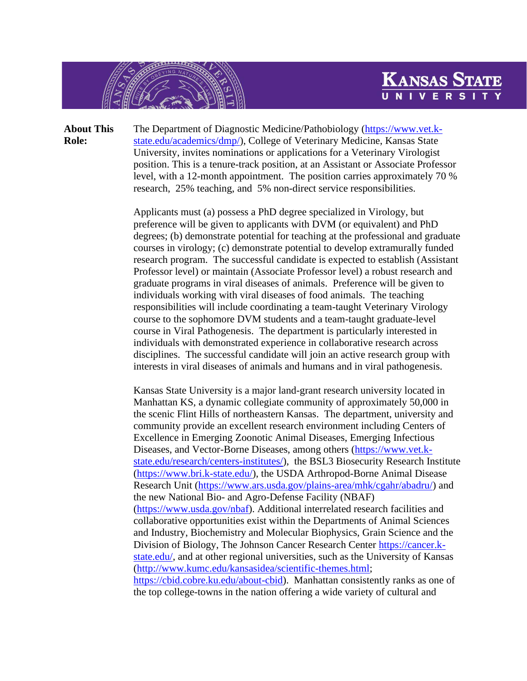

**About This Role:** The Department of Diagnostic Medicine/Pathobiology [\(https://www.vet.k](https://www.vet.k-state.edu/academics/dmp/)[state.edu/academics/dmp/\)](https://www.vet.k-state.edu/academics/dmp/), College of Veterinary Medicine, Kansas State University, invites nominations or applications for a Veterinary Virologist position. This is a tenure-track position, at an Assistant or Associate Professor level, with a 12-month appointment. The position carries approximately 70 % research, 25% teaching, and 5% non-direct service responsibilities.

> Applicants must (a) possess a PhD degree specialized in Virology, but preference will be given to applicants with DVM (or equivalent) and PhD degrees; (b) demonstrate potential for teaching at the professional and graduate courses in virology; (c) demonstrate potential to develop extramurally funded research program. The successful candidate is expected to establish (Assistant Professor level) or maintain (Associate Professor level) a robust research and graduate programs in viral diseases of animals. Preference will be given to individuals working with viral diseases of food animals. The teaching responsibilities will include coordinating a team-taught Veterinary Virology course to the sophomore DVM students and a team-taught graduate-level course in Viral Pathogenesis. The department is particularly interested in individuals with demonstrated experience in collaborative research across disciplines. The successful candidate will join an active research group with interests in viral diseases of animals and humans and in viral pathogenesis.

**KANSAS STA** 

Kansas State University is a major land-grant research university located in Manhattan KS, a dynamic collegiate community of approximately 50,000 in the scenic Flint Hills of northeastern Kansas. The department, university and community provide an excellent research environment including Centers of Excellence in Emerging Zoonotic Animal Diseases, Emerging Infectious Diseases, and Vector-Borne Diseases, among others [\(https://www.vet.k](https://www.vet.k-state.edu/research/centers-institutes/)[state.edu/research/centers-institutes/\)](https://www.vet.k-state.edu/research/centers-institutes/), the BSL3 Biosecurity Research Institute [\(https://www.bri.k-state.edu/\)](https://www.bri.k-state.edu/), the USDA Arthropod-Borne Animal Disease Research Unit [\(https://www.ars.usda.gov/plains-area/mhk/cgahr/abadru/\)](https://www.ars.usda.gov/plains-area/mhk/cgahr/abadru/) and the new National Bio- and Agro-Defense Facility (NBAF) [\(https://www.usda.gov/nbaf\)](https://www.usda.gov/nbaf). Additional interrelated research facilities and collaborative opportunities exist within the Departments of Animal Sciences and Industry, Biochemistry and Molecular Biophysics, Grain Science and the Division of Biology, The Johnson Cancer Research Center [https://cancer.k](https://cancer.k-state.edu/)[state.edu/,](https://cancer.k-state.edu/) and at other regional universities, such as the University of Kansas [\(http://www.kumc.edu/kansasidea/scientific-themes.html;](http://www.kumc.edu/kansasidea/scientific-themes.html) [https://cbid.cobre.ku.edu/about-cbid\)](https://cbid.cobre.ku.edu/about-cbid). Manhattan consistently ranks as one of the top college-towns in the nation offering a wide variety of cultural and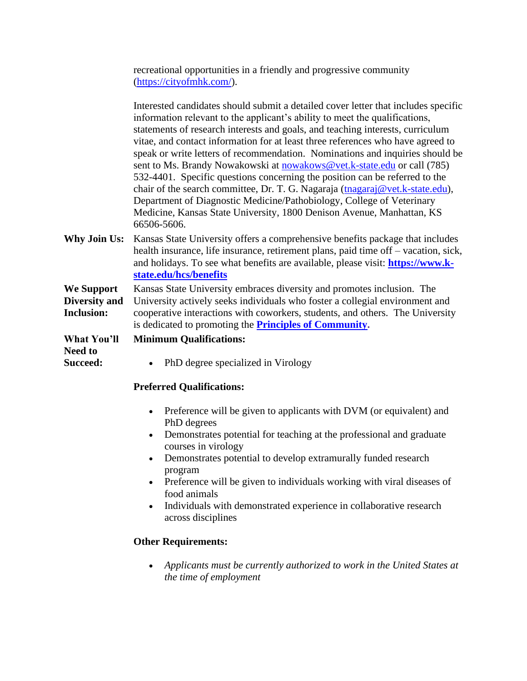recreational opportunities in a friendly and progressive community [\(https://cityofmhk.com/\)](https://cityofmhk.com/).

|                                           | Interested candidates should submit a detailed cover letter that includes specific<br>information relevant to the applicant's ability to meet the qualifications,                                                                                                                |
|-------------------------------------------|----------------------------------------------------------------------------------------------------------------------------------------------------------------------------------------------------------------------------------------------------------------------------------|
|                                           | statements of research interests and goals, and teaching interests, curriculum                                                                                                                                                                                                   |
|                                           | vitae, and contact information for at least three references who have agreed to                                                                                                                                                                                                  |
|                                           | speak or write letters of recommendation. Nominations and inquiries should be                                                                                                                                                                                                    |
|                                           | sent to Ms. Brandy Nowakowski at nowakows@vet.k-state.edu or call (785)                                                                                                                                                                                                          |
|                                           | 532-4401. Specific questions concerning the position can be referred to the                                                                                                                                                                                                      |
|                                           | chair of the search committee, Dr. T. G. Nagaraja (tnagaraj@vet.k-state.edu),                                                                                                                                                                                                    |
|                                           | Department of Diagnostic Medicine/Pathobiology, College of Veterinary                                                                                                                                                                                                            |
|                                           | Medicine, Kansas State University, 1800 Denison Avenue, Manhattan, KS<br>66506-5606.                                                                                                                                                                                             |
| <b>Why Join Us:</b>                       | Kansas State University offers a comprehensive benefits package that includes<br>health insurance, life insurance, retirement plans, paid time off – vacation, sick,<br>and holidays. To see what benefits are available, please visit: https://www.k-<br>state.edu/hcs/benefits |
| We Support                                | Kansas State University embraces diversity and promotes inclusion. The                                                                                                                                                                                                           |
| <b>Diversity and</b><br><b>Inclusion:</b> | University actively seeks individuals who foster a collegial environment and<br>cooperative interactions with coworkers, students, and others. The University<br>is dedicated to promoting the <b>Principles of Community.</b>                                                   |
| <b>What You'll</b>                        | <b>Minimum Qualifications:</b>                                                                                                                                                                                                                                                   |
| <b>Need to</b><br>Succeed:                | PhD degree specialized in Virology                                                                                                                                                                                                                                               |
|                                           |                                                                                                                                                                                                                                                                                  |

## **Preferred Qualifications:**

- Preference will be given to applicants with DVM (or equivalent) and PhD degrees
- Demonstrates potential for teaching at the professional and graduate courses in virology
- Demonstrates potential to develop extramurally funded research program
- Preference will be given to individuals working with viral diseases of food animals
- Individuals with demonstrated experience in collaborative research across disciplines

## **Other Requirements:**

• *Applicants must be currently authorized to work in the United States at the time of employment*